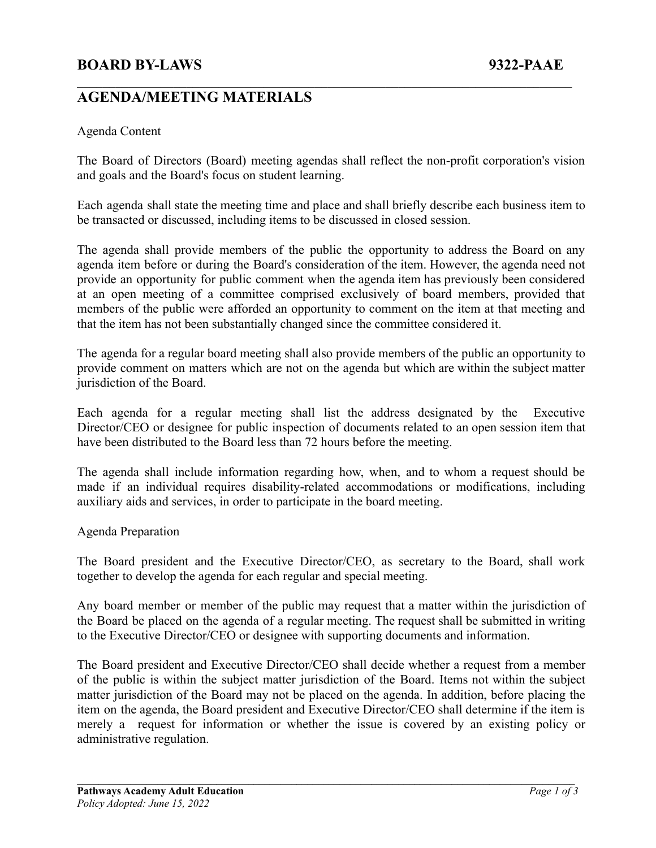### **BOARD BY-LAWS 9322-PAAE**

## **AGENDA/MEETING MATERIALS**

#### Agenda Content

The Board of Directors (Board) meeting agendas shall reflect the non-profit corporation's vision and goals and the Board's focus on student learning.

 $\mathcal{L}_\text{max} = \mathcal{L}_\text{max} = \mathcal{L}_\text{max} = \mathcal{L}_\text{max} = \mathcal{L}_\text{max} = \mathcal{L}_\text{max} = \mathcal{L}_\text{max} = \mathcal{L}_\text{max} = \mathcal{L}_\text{max} = \mathcal{L}_\text{max} = \mathcal{L}_\text{max} = \mathcal{L}_\text{max} = \mathcal{L}_\text{max} = \mathcal{L}_\text{max} = \mathcal{L}_\text{max} = \mathcal{L}_\text{max} = \mathcal{L}_\text{max} = \mathcal{L}_\text{max} = \mathcal{$ 

Each agenda shall state the meeting time and place and shall briefly describe each business item to be transacted or discussed, including items to be discussed in closed session.

The agenda shall provide members of the public the opportunity to address the Board on any agenda item before or during the Board's consideration of the item. However, the agenda need not provide an opportunity for public comment when the agenda item has previously been considered at an open meeting of a committee comprised exclusively of board members, provided that members of the public were afforded an opportunity to comment on the item at that meeting and that the item has not been substantially changed since the committee considered it.

The agenda for a regular board meeting shall also provide members of the public an opportunity to provide comment on matters which are not on the agenda but which are within the subject matter jurisdiction of the Board.

Each agenda for a regular meeting shall list the address designated by the Executive Director/CEO or designee for public inspection of documents related to an open session item that have been distributed to the Board less than 72 hours before the meeting.

The agenda shall include information regarding how, when, and to whom a request should be made if an individual requires disability-related accommodations or modifications, including auxiliary aids and services, in order to participate in the board meeting.

#### Agenda Preparation

The Board president and the Executive Director/CEO, as secretary to the Board, shall work together to develop the agenda for each regular and special meeting.

Any board member or member of the public may request that a matter within the jurisdiction of the Board be placed on the agenda of a regular meeting. The request shall be submitted in writing to the Executive Director/CEO or designee with supporting documents and information.

The Board president and Executive Director/CEO shall decide whether a request from a member of the public is within the subject matter jurisdiction of the Board. Items not within the subject matter jurisdiction of the Board may not be placed on the agenda. In addition, before placing the item on the agenda, the Board president and Executive Director/CEO shall determine if the item is merely a request for information or whether the issue is covered by an existing policy or administrative regulation.

 $\mathcal{L}_\mathcal{L} = \{ \mathcal{L}_\mathcal{L} = \{ \mathcal{L}_\mathcal{L} = \{ \mathcal{L}_\mathcal{L} = \{ \mathcal{L}_\mathcal{L} = \{ \mathcal{L}_\mathcal{L} = \{ \mathcal{L}_\mathcal{L} = \{ \mathcal{L}_\mathcal{L} = \{ \mathcal{L}_\mathcal{L} = \{ \mathcal{L}_\mathcal{L} = \{ \mathcal{L}_\mathcal{L} = \{ \mathcal{L}_\mathcal{L} = \{ \mathcal{L}_\mathcal{L} = \{ \mathcal{L}_\mathcal{L} = \{ \mathcal{L}_\mathcal{$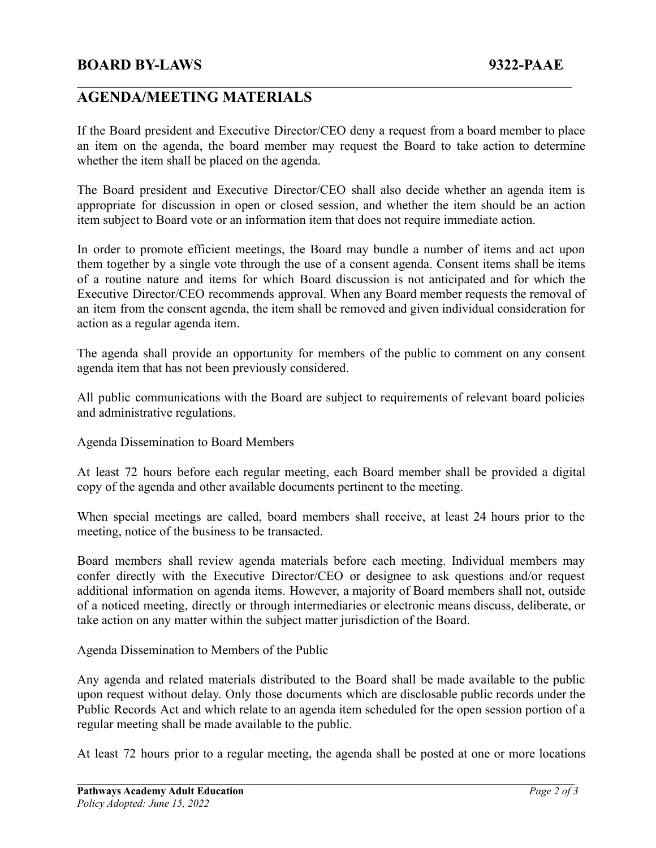### **BOARD BY-LAWS 9322-PAAE**

# **AGENDA/MEETING MATERIALS**

If the Board president and Executive Director/CEO deny a request from a board member to place an item on the agenda, the board member may request the Board to take action to determine whether the item shall be placed on the agenda.

 $\mathcal{L}_\text{max} = \mathcal{L}_\text{max} = \mathcal{L}_\text{max} = \mathcal{L}_\text{max} = \mathcal{L}_\text{max} = \mathcal{L}_\text{max} = \mathcal{L}_\text{max} = \mathcal{L}_\text{max} = \mathcal{L}_\text{max} = \mathcal{L}_\text{max} = \mathcal{L}_\text{max} = \mathcal{L}_\text{max} = \mathcal{L}_\text{max} = \mathcal{L}_\text{max} = \mathcal{L}_\text{max} = \mathcal{L}_\text{max} = \mathcal{L}_\text{max} = \mathcal{L}_\text{max} = \mathcal{$ 

The Board president and Executive Director/CEO shall also decide whether an agenda item is appropriate for discussion in open or closed session, and whether the item should be an action item subject to Board vote or an information item that does not require immediate action.

In order to promote efficient meetings, the Board may bundle a number of items and act upon them together by a single vote through the use of a consent agenda. Consent items shall be items of a routine nature and items for which Board discussion is not anticipated and for which the Executive Director/CEO recommends approval. When any Board member requests the removal of an item from the consent agenda, the item shall be removed and given individual consideration for action as a regular agenda item.

The agenda shall provide an opportunity for members of the public to comment on any consent agenda item that has not been previously considered.

All public communications with the Board are subject to requirements of relevant board policies and administrative regulations.

Agenda Dissemination to Board Members

At least 72 hours before each regular meeting, each Board member shall be provided a digital copy of the agenda and other available documents pertinent to the meeting.

When special meetings are called, board members shall receive, at least 24 hours prior to the meeting, notice of the business to be transacted.

Board members shall review agenda materials before each meeting. Individual members may confer directly with the Executive Director/CEO or designee to ask questions and/or request additional information on agenda items. However, a majority of Board members shall not, outside of a noticed meeting, directly or through intermediaries or electronic means discuss, deliberate, or take action on any matter within the subject matter jurisdiction of the Board.

Agenda Dissemination to Members of the Public

Any agenda and related materials distributed to the Board shall be made available to the public upon request without delay. Only those documents which are disclosable public records under the Public Records Act and which relate to an agenda item scheduled for the open session portion of a regular meeting shall be made available to the public.

At least 72 hours prior to a regular meeting, the agenda shall be posted at one or more locations

 $\mathcal{L}_\mathcal{L} = \{ \mathcal{L}_\mathcal{L} = \{ \mathcal{L}_\mathcal{L} = \{ \mathcal{L}_\mathcal{L} = \{ \mathcal{L}_\mathcal{L} = \{ \mathcal{L}_\mathcal{L} = \{ \mathcal{L}_\mathcal{L} = \{ \mathcal{L}_\mathcal{L} = \{ \mathcal{L}_\mathcal{L} = \{ \mathcal{L}_\mathcal{L} = \{ \mathcal{L}_\mathcal{L} = \{ \mathcal{L}_\mathcal{L} = \{ \mathcal{L}_\mathcal{L} = \{ \mathcal{L}_\mathcal{L} = \{ \mathcal{L}_\mathcal{$